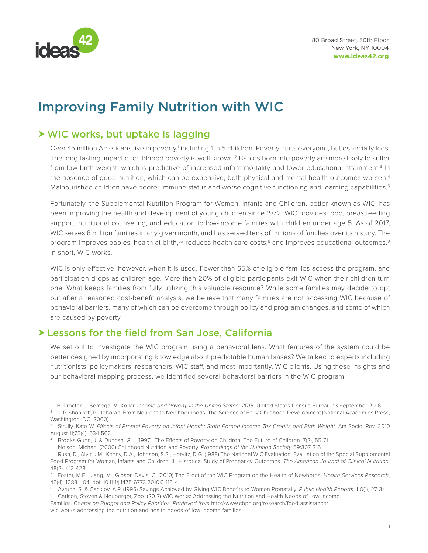

# Improving Family Nutrition with WIC

## WIC works, but uptake is lagging

Over 45 million Americans live in poverty,<sup>1</sup> including 1 in 5 children. Poverty hurts everyone, but especially kids. The long-lasting impact of childhood poverty is well-known.2 Babies born into poverty are more likely to suffer from low birth weight, which is predictive of increased infant mortality and lower educational attainment.<sup>3</sup> In the absence of good nutrition, which can be expensive, both physical and mental health outcomes worsen.<sup>4</sup> Malnourished children have poorer immune status and worse cognitive functioning and learning capabilities.<sup>5</sup>

Fortunately, the Supplemental Nutrition Program for Women, Infants and Children, better known as WIC, has been improving the health and development of young children since 1972. WIC provides food, breastfeeding support, nutritional counseling, and education to low-income families with children under age 5. As of 2017, WIC serves 8 million families in any given month, and has served tens of millions of families over its history. The program improves babies' health at birth,<sup>6,7</sup> reduces health care costs,<sup>8</sup> and improves educational outcomes.<sup>9</sup> In short, WIC works.

WIC is only effective, however, when it is used. Fewer than 65% of eligible families access the program, and participation drops as children age. More than 20% of eligible participants exit WIC when their children turn one. What keeps families from fully utilizing this valuable resource? While some families may decide to opt out after a reasoned cost-benefit analysis, we believe that many families are not accessing WIC because of behavioral barriers, many of which can be overcome through policy and program changes, and some of which are caused by poverty.

## Lessons for the field from San Jose, California

We set out to investigate the WIC program using a behavioral lens. What features of the system could be better designed by incorporating knowledge about predictable human biases? We talked to experts including nutritionists, policymakers, researchers, WIC staff, and most importantly, WIC clients. Using these insights and our behavioral mapping process, we identified several behavioral barriers in the WIC program.

Families. *Center on Budget and Policy Priorities. Retrieved from* http://www.cbpp.org/research/food-assistance/

wic-works-addressing-the-nutrition-and-health-needs-of-low-income-families

<sup>1</sup> B. Proctor, J. Semega, M. Kollar. *Income and Poverty in the United States: 2015.* United States Census Bureau, 13 September 2016.

<sup>&</sup>lt;sup>2</sup> J. P. Shonkoff, P. Deborah, From Neurons to Neighborhoods: The Science of Early Childhood Development (National Academies Press, Washington, DC, 2000)

<sup>&</sup>lt;sup>3</sup> Strully, Kate W. Effects of Prental Poverty on Infant Health: State Earned Income Tax Credits and Birth Weight. Am Sociol Rev. 2010 August 11;75(4): 534-562.

<sup>4</sup> Brooks-Gunn, J. & Duncan, G.J. (1997). The Effects of Poverty on Children. The Future of Children. 7(2), 55-71

<sup>5</sup> Nelson, Michael (2000) Childhood Nutrition and Poverty. *Proceedings of the Nutrition Society* 59:307-315.

<sup>6</sup> Rush, D., Alvir, J.M., Kenny, D.A., Johnson, S.S., Horvitz, D.G. (1988) The National WIC Evaluation: Evaluation of the Special Supplemental Food Program for Woman, Infants and Children. III. Historical Study of Pregnancy Outcomes. *The American Journal of Clinical Nutrition*, 48(2), 412-428.

<sup>7</sup> Foster, M.E., Jiang, M., Gibson-Davis, C. (2010) The E ect of the WIC Program on the Health of Newborns. *Health Services Research*, 45(4), 1083-1104. doi: 10.1111/j.1475-6773.2010.01115.x

<sup>&</sup>lt;sup>8</sup> Avruch, S. & Cackley, A.P. (1995) Savings Achieved by Giving WIC Benefits to Women Prenatally. Public Health Reports, 110(1), 27-34.<br><sup>9</sup> Carlson, Steven & Neuberger, Zoe. (2017) WIC Works: Addressing the Nutrition and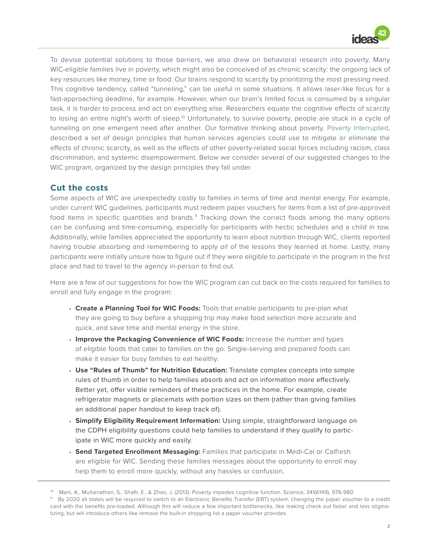

To devise potential solutions to those barriers, we also drew on behavioral research into poverty. Many WIC-eligible families live in poverty, which might also be conceived of as chronic scarcity: the ongoing lack of key resources like money, time or food. Our brains respond to scarcity by prioritizing the most pressing need. This cognitive tendency, called "tunneling," can be useful in some situations. It allows laser-like focus for a fast-approaching deadline, for example. However, when our brain's limited focus is consumed by a singular task, it is harder to process and act on everything else. Researchers equate the cognitive effects of scarcity to losing an entire night's worth of sleep.<sup>10</sup> Unfortunately, to survive poverty, people are stuck in a cycle of tunneling on one emergent need after another. Our formative thinking about poverty, [Poverty Interrupted,](http://www.ideas42.org/wp-content/uploads/2015/05/I42_PovertyWhitePaper_Digital_FINAL-1.pdf) described a set of design principles that human services agencies could use to mitigate or eliminate the effects of chronic scarcity, as well as the effects of other poverty-related social forces including racism, class discrimination, and systemic disempowerment. Below we consider several of our suggested changes to the WIC program, organized by the design principles they fall under.

#### **Cut the costs**

Some aspects of WIC are unexpectedly costly to families in terms of time and mental energy. For example, under current WIC guidelines, participants must redeem paper vouchers for items from a list of pre-approved food items in specific quantities and brands.<sup>11</sup> Tracking down the correct foods among the many options can be confusing and time-consuming, especially for participants with hectic schedules and a child in tow. Additionally, while families appreciated the opportunity to learn about nutrition through WIC, clients reported having trouble absorbing and remembering to apply *all* of the lessons they learned at home. Lastly, many participants were initially unsure how to figure out if they were eligible to participate in the program in the first place and had to travel to the agency in-person to find out.

Here are a few of our suggestions for how the WIC program can cut back on the costs required for families to enroll and fully engage in the program:

- **• Create a Planning Tool for WIC Foods:** Tools that enable participants to pre-plan what they are going to buy before a shopping trip may make food selection more accurate and quick, and save time and mental energy in the store.
- **• Improve the Packaging Convenience of WIC Foods:** Increase the number and types of eligible foods that cater to families on the go. Single-serving and prepared foods can make it easier for busy families to eat healthy.
- **• Use "Rules of Thumb" for Nutrition Education:** Translate complex concepts into simple rules of thumb in order to help families absorb and act on information more effectively. Better yet, offer visible reminders of these practices in the home. For example, create refrigerator magnets or placemats with portion sizes on them (rather than giving families an additional paper handout to keep track of).
- **• Simplify Eligibility Requirement Information:** Using simple, straightforward language on the CDPH eligibility questions could help families to understand if they qualify to participate in WIC more quickly and easily.
- **• Send Targeted Enrollment Messaging:** Families that participate in Medi-Cal or Calfresh are eligible for WIC. Sending these families messages about the opportunity to enroll may help them to enroll more quickly, without any hassles or confusion.

<sup>10</sup> Mani, A., Mullainathan, S., Shafir, E., & Zhao, J. (2013). Poverty impedes cognitive function. Science, 341(6149), 976-980

<sup>11</sup> By 2020 all states will be required to switch to an Electronic Benefits Transfer (EBT) system, changing the paper voucher to a credit card with the benefits pre-loaded. Although this will reduce a few important bottlenecks, like making check out faster and less stigmatizing, but will introduce others like remove the built-in shopping list a paper voucher provides.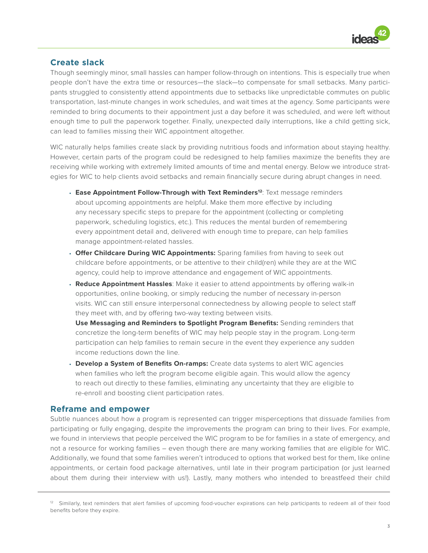

#### **Create slack**

Though seemingly minor, small hassles can hamper follow-through on intentions. This is especially true when people don't have the extra time or resources—the slack—to compensate for small setbacks. Many participants struggled to consistently attend appointments due to setbacks like unpredictable commutes on public transportation, last-minute changes in work schedules, and wait times at the agency. Some participants were reminded to bring documents to their appointment just a day before it was scheduled, and were left without enough time to pull the paperwork together. Finally, unexpected daily interruptions, like a child getting sick, can lead to families missing their WIC appointment altogether.

WIC naturally helps families create slack by providing nutritious foods and information about staying healthy. However, certain parts of the program could be redesigned to help families maximize the benefits they are receiving while working with extremely limited amounts of time and mental energy. Below we introduce strategies for WIC to help clients avoid setbacks and remain financially secure during abrupt changes in need.

- **• Ease Appointment Follow-Through with Text Reminders12**: Text message reminders about upcoming appointments are helpful. Make them more effective by including any necessary specific steps to prepare for the appointment (collecting or completing paperwork, scheduling logistics, etc.). This reduces the mental burden of remembering every appointment detail and, delivered with enough time to prepare, can help families manage appointment-related hassles.
- **• Offer Childcare During WIC Appointments:** Sparing families from having to seek out childcare before appointments, or be attentive to their child(ren) while they are at the WIC agency, could help to improve attendance and engagement of WIC appointments.
- **• Reduce Appointment Hassles**: Make it easier to attend appointments by offering walk-in opportunities, online booking, or simply reducing the number of necessary in-person visits. WIC can still ensure interpersonal connectedness by allowing people to select staff they meet with, and by offering two-way texting between visits.

**Use Messaging and Reminders to Spotlight Program Benefits:** Sending reminders that concretize the long-term benefits of WIC may help people stay in the program. Long-term participation can help families to remain secure in the event they experience any sudden income reductions down the line.

**• Develop a System of Benefits On-ramps:** Create data systems to alert WIC agencies when families who left the program become eligible again. This would allow the agency to reach out directly to these families, eliminating any uncertainty that they are eligible to re-enroll and boosting client participation rates.

#### **Reframe and empower**

Subtle nuances about how a program is represented can trigger misperceptions that dissuade families from participating or fully engaging, despite the improvements the program can bring to their lives. For example, we found in interviews that people perceived the WIC program to be for families in a state of emergency, and not a resource for working families – even though there are many working families that are eligible for WIC. Additionally, we found that some families weren't introduced to options that worked best for them, like online appointments, or certain food package alternatives, until late in their program participation (or just learned about them during their interview with us!). Lastly, many mothers who intended to breastfeed their child

<sup>&</sup>lt;sup>12</sup> Similarly, text reminders that alert families of upcoming food-voucher expirations can help participants to redeem all of their food benefits before they expire.